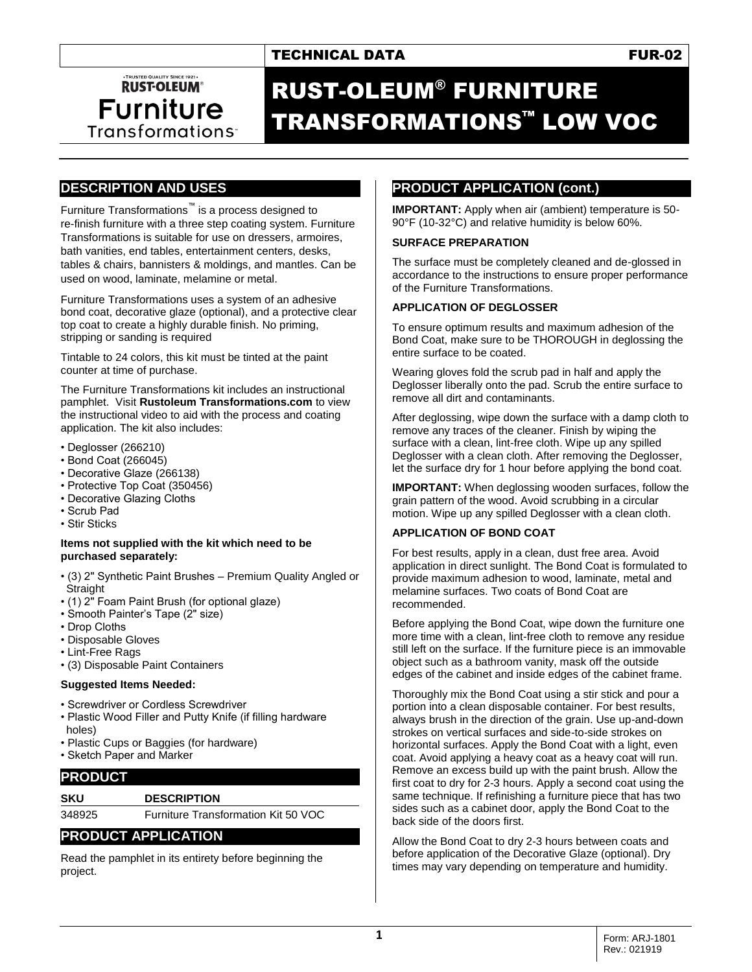# TECHNICAL DATA **FUR-02**

# · TRUSTED QUALITY SINCE 1921 **RUST-OLEUM® Furniture** Transformations

# RUST-OLEUM® FURNITURE TRANSFORMATIONS™ LOW VOC

# **DESCRIPTION AND USES**

Furniture Transformations™ is a process designed to re-finish furniture with a three step coating system. Furniture Transformations is suitable for use on dressers, armoires, bath vanities, end tables, entertainment centers, desks, tables & chairs, bannisters & moldings, and mantles. Can be used on wood, laminate, melamine or metal.

Furniture Transformations uses a system of an adhesive bond coat, decorative glaze (optional), and a protective clear top coat to create a highly durable finish. No priming, stripping or sanding is required

Tintable to 24 colors, this kit must be tinted at the paint counter at time of purchase.

The Furniture Transformations kit includes an instructional pamphlet. Visit **Rustoleum Transformations.com** to view the instructional video to aid with the process and coating application. The kit also includes:

- Deglosser (266210)
- Bond Coat (266045)
- Decorative Glaze (266138)
- Protective Top Coat (350456)
- Decorative Glazing Cloths
- Scrub Pad
- Stir Sticks

#### **Items not supplied with the kit which need to be purchased separately:**

- (3) 2" Synthetic Paint Brushes Premium Quality Angled or Straight
- (1) 2" Foam Paint Brush (for optional glaze)
- Smooth Painter's Tape (2" size)
- Drop Cloths
- Disposable Gloves
- Lint-Free Rags

• (3) Disposable Paint Containers

## **Suggested Items Needed:**

- Screwdriver or Cordless Screwdriver
- Plastic Wood Filler and Putty Knife (if filling hardware holes)
- Plastic Cups or Baggies (for hardware)
- Sketch Paper and Marker

## **PRODUCT**

#### **SKU DESCRIPTION**

348925 Furniture Transformation Kit 50 VOC

# **PRODUCT APPLICATION**

Read the pamphlet in its entirety before beginning the project.

# **PRODUCT APPLICATION (cont.)**

**IMPORTANT:** Apply when air (ambient) temperature is 50- 90°F (10-32°C) and relative humidity is below 60%.

#### **SURFACE PREPARATION**

The surface must be completely cleaned and de-glossed in accordance to the instructions to ensure proper performance of the Furniture Transformations.

#### **APPLICATION OF DEGLOSSER**

To ensure optimum results and maximum adhesion of the Bond Coat, make sure to be THOROUGH in deglossing the entire surface to be coated.

Wearing gloves fold the scrub pad in half and apply the Deglosser liberally onto the pad. Scrub the entire surface to remove all dirt and contaminants.

After deglossing, wipe down the surface with a damp cloth to remove any traces of the cleaner. Finish by wiping the surface with a clean, lint-free cloth. Wipe up any spilled Deglosser with a clean cloth. After removing the Deglosser, let the surface dry for 1 hour before applying the bond coat.

**IMPORTANT:** When deglossing wooden surfaces, follow the grain pattern of the wood. Avoid scrubbing in a circular motion. Wipe up any spilled Deglosser with a clean cloth.

#### **APPLICATION OF BOND COAT**

For best results, apply in a clean, dust free area. Avoid application in direct sunlight. The Bond Coat is formulated to provide maximum adhesion to wood, laminate, metal and melamine surfaces. Two coats of Bond Coat are recommended.

Before applying the Bond Coat, wipe down the furniture one more time with a clean, lint-free cloth to remove any residue still left on the surface. If the furniture piece is an immovable object such as a bathroom vanity, mask off the outside edges of the cabinet and inside edges of the cabinet frame.

Thoroughly mix the Bond Coat using a stir stick and pour a portion into a clean disposable container. For best results, always brush in the direction of the grain. Use up-and-down strokes on vertical surfaces and side-to-side strokes on horizontal surfaces. Apply the Bond Coat with a light, even coat. Avoid applying a heavy coat as a heavy coat will run. Remove an excess build up with the paint brush. Allow the first coat to dry for 2-3 hours. Apply a second coat using the same technique. If refinishing a furniture piece that has two sides such as a cabinet door, apply the Bond Coat to the back side of the doors first.

Allow the Bond Coat to dry 2-3 hours between coats and before application of the Decorative Glaze (optional). Dry times may vary depending on temperature and humidity.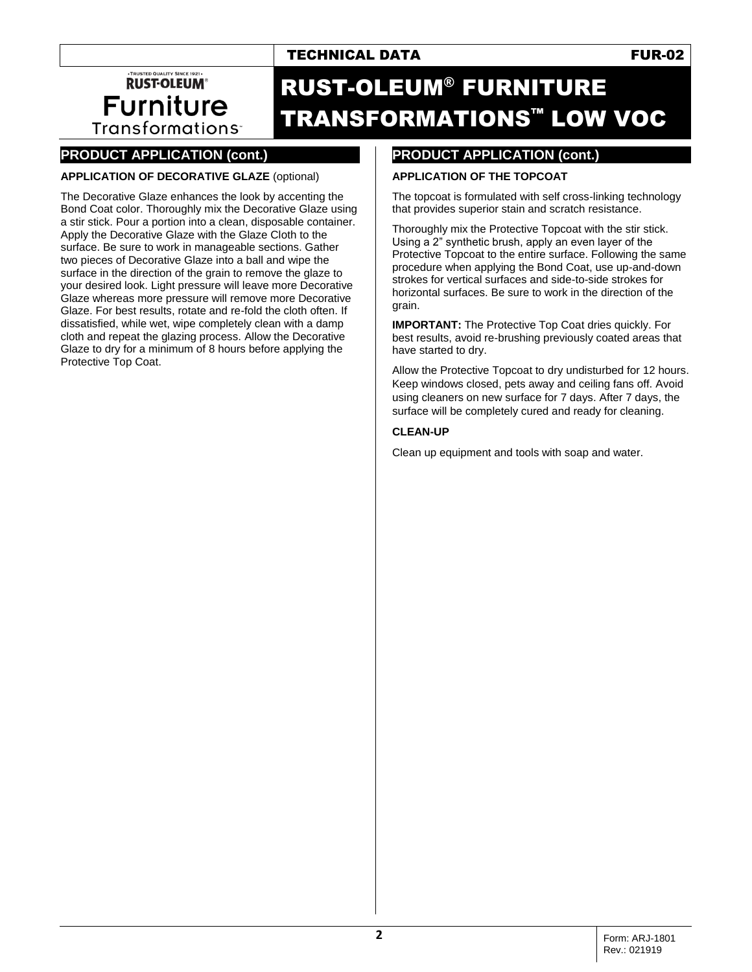# TECHNICAL DATA **FUR-02**

·TRUSTED QUALITY SINCE 1921 **RUST-OLEUM® Furniture** Transformations<sup>-</sup>

# RUST-OLEUM® FURNITURE TRANSFORMATIONS™ LOW VOC

# **PRODUCT APPLICATION (cont.)**

### **APPLICATION OF DECORATIVE GLAZE** (optional)

The Decorative Glaze enhances the look by accenting the Bond Coat color. Thoroughly mix the Decorative Glaze using a stir stick. Pour a portion into a clean, disposable container. Apply the Decorative Glaze with the Glaze Cloth to the surface. Be sure to work in manageable sections. Gather two pieces of Decorative Glaze into a ball and wipe the surface in the direction of the grain to remove the glaze to your desired look. Light pressure will leave more Decorative Glaze whereas more pressure will remove more Decorative Glaze. For best results, rotate and re-fold the cloth often. If dissatisfied, while wet, wipe completely clean with a damp cloth and repeat the glazing process. Allow the Decorative Glaze to dry for a minimum of 8 hours before applying the Protective Top Coat.

# **PRODUCT APPLICATION (cont.)**

#### **APPLICATION OF THE TOPCOAT**

The topcoat is formulated with self cross-linking technology that provides superior stain and scratch resistance.

Thoroughly mix the Protective Topcoat with the stir stick. Using a 2" synthetic brush, apply an even layer of the Protective Topcoat to the entire surface. Following the same procedure when applying the Bond Coat, use up-and-down strokes for vertical surfaces and side-to-side strokes for horizontal surfaces. Be sure to work in the direction of the grain.

**IMPORTANT:** The Protective Top Coat dries quickly. For best results, avoid re-brushing previously coated areas that have started to dry.

Allow the Protective Topcoat to dry undisturbed for 12 hours. Keep windows closed, pets away and ceiling fans off. Avoid using cleaners on new surface for 7 days. After 7 days, the surface will be completely cured and ready for cleaning.

#### **CLEAN-UP**

Clean up equipment and tools with soap and water.